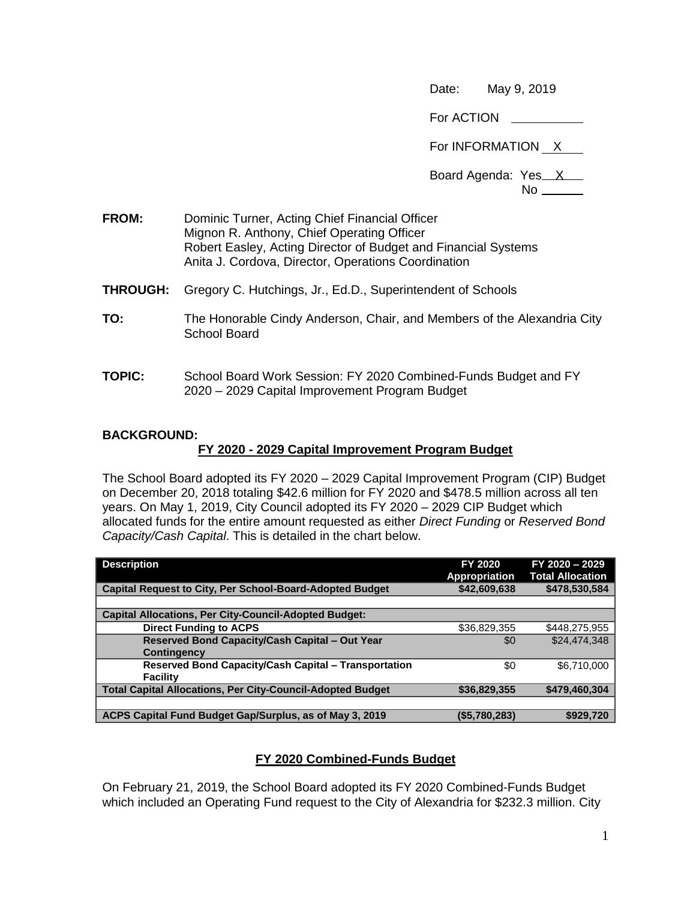Date: May 9, 2019

For ACTION
<br>
<u>
</u>

For INFORMATION X

Board Agenda: Yes X

No

- **FROM:** Dominic Turner, Acting Chief Financial Officer Mignon R. Anthony, Chief Operating Officer Robert Easley, Acting Director of Budget and Financial Systems Anita J. Cordova, Director, Operations Coordination
- **THROUGH:** Gregory C. Hutchings, Jr., Ed.D., Superintendent of Schools
- **TO:** The Honorable Cindy Anderson, Chair, and Members of the Alexandria City School Board
- **TOPIC:** School Board Work Session: FY 2020 Combined-Funds Budget and FY 2020 – 2029 Capital Improvement Program Budget

## **BACKGROUND:**

## **FY 2020 - 2029 Capital Improvement Program Budget**

The School Board adopted its FY 2020 – 2029 Capital Improvement Program (CIP) Budget on December 20, 2018 totaling \$42.6 million for FY 2020 and \$478.5 million across all ten years. On May 1, 2019, City Council adopted its FY 2020 – 2029 CIP Budget which allocated funds for the entire amount requested as either *Direct Funding* or *Reserved Bond Capacity/Cash Capital*. This is detailed in the chart below.

| <b>Description</b>                                                | FY 2020<br><b>Appropriation</b> | FY 2020 - 2029<br><b>Total Allocation</b> |
|-------------------------------------------------------------------|---------------------------------|-------------------------------------------|
| <b>Capital Request to City, Per School-Board-Adopted Budget</b>   | \$42,609,638                    | \$478,530,584                             |
|                                                                   |                                 |                                           |
| <b>Capital Allocations, Per City-Council-Adopted Budget:</b>      |                                 |                                           |
| <b>Direct Funding to ACPS</b>                                     | \$36,829,355                    | \$448,275,955                             |
| Reserved Bond Capacity/Cash Capital - Out Year                    | \$0                             | \$24,474,348                              |
| <b>Contingency</b>                                                |                                 |                                           |
| <b>Reserved Bond Capacity/Cash Capital - Transportation</b>       | \$0                             | \$6.710.000                               |
| Facility                                                          |                                 |                                           |
| <b>Total Capital Allocations, Per City-Council-Adopted Budget</b> | \$36,829,355                    | \$479,460,304                             |
|                                                                   |                                 |                                           |
| ACPS Capital Fund Budget Gap/Surplus, as of May 3, 2019           | (\$5,780,283)                   | \$929.720                                 |

# **FY 2020 Combined-Funds Budget**

On February 21, 2019, the School Board adopted its FY 2020 Combined-Funds Budget which included an Operating Fund request to the City of Alexandria for \$232.3 million. City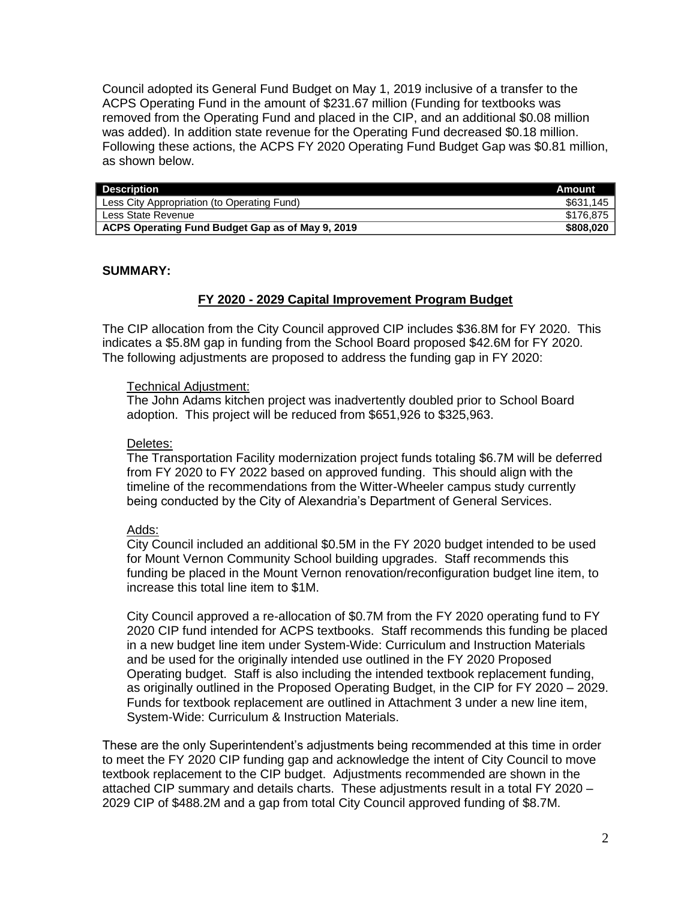Council adopted its General Fund Budget on May 1, 2019 inclusive of a transfer to the ACPS Operating Fund in the amount of \$231.67 million (Funding for textbooks was removed from the Operating Fund and placed in the CIP, and an additional \$0.08 million was added). In addition state revenue for the Operating Fund decreased \$0.18 million. Following these actions, the ACPS FY 2020 Operating Fund Budget Gap was \$0.81 million, as shown below.

| <b>Description</b>                               | Amount    |
|--------------------------------------------------|-----------|
| Less City Appropriation (to Operating Fund)      | \$631,145 |
| Less State Revenue                               | \$176.875 |
| ACPS Operating Fund Budget Gap as of May 9, 2019 | \$808,020 |

## **SUMMARY:**

## **FY 2020 - 2029 Capital Improvement Program Budget**

The CIP allocation from the City Council approved CIP includes \$36.8M for FY 2020. This indicates a \$5.8M gap in funding from the School Board proposed \$42.6M for FY 2020. The following adjustments are proposed to address the funding gap in FY 2020:

#### Technical Adjustment:

The John Adams kitchen project was inadvertently doubled prior to School Board adoption. This project will be reduced from \$651,926 to \$325,963.

#### Deletes:

The Transportation Facility modernization project funds totaling \$6.7M will be deferred from FY 2020 to FY 2022 based on approved funding. This should align with the timeline of the recommendations from the Witter-Wheeler campus study currently being conducted by the City of Alexandria's Department of General Services.

#### Adds:

City Council included an additional \$0.5M in the FY 2020 budget intended to be used for Mount Vernon Community School building upgrades. Staff recommends this funding be placed in the Mount Vernon renovation/reconfiguration budget line item, to increase this total line item to \$1M.

City Council approved a re-allocation of \$0.7M from the FY 2020 operating fund to FY 2020 CIP fund intended for ACPS textbooks. Staff recommends this funding be placed in a new budget line item under System-Wide: Curriculum and Instruction Materials and be used for the originally intended use outlined in the FY 2020 Proposed Operating budget. Staff is also including the intended textbook replacement funding, as originally outlined in the Proposed Operating Budget, in the CIP for FY 2020 – 2029. Funds for textbook replacement are outlined in Attachment 3 under a new line item, System-Wide: Curriculum & Instruction Materials.

These are the only Superintendent's adjustments being recommended at this time in order to meet the FY 2020 CIP funding gap and acknowledge the intent of City Council to move textbook replacement to the CIP budget. Adjustments recommended are shown in the attached CIP summary and details charts. These adjustments result in a total FY 2020 – 2029 CIP of \$488.2M and a gap from total City Council approved funding of \$8.7M.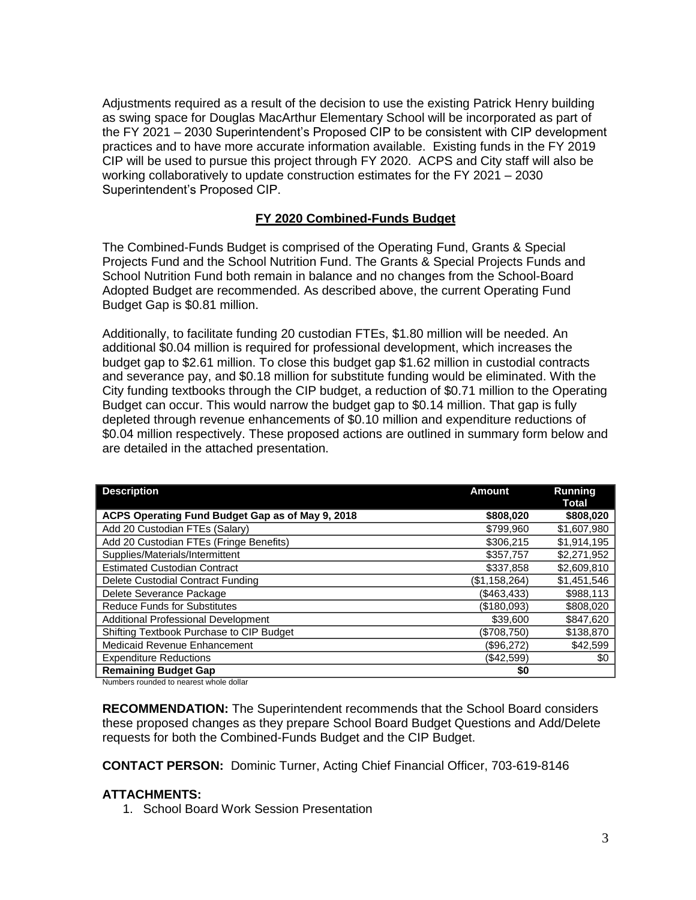Adjustments required as a result of the decision to use the existing Patrick Henry building as swing space for Douglas MacArthur Elementary School will be incorporated as part of the FY 2021 – 2030 Superintendent's Proposed CIP to be consistent with CIP development practices and to have more accurate information available. Existing funds in the FY 2019 CIP will be used to pursue this project through FY 2020. ACPS and City staff will also be working collaboratively to update construction estimates for the FY 2021 – 2030 Superintendent's Proposed CIP.

# **FY 2020 Combined-Funds Budget**

The Combined-Funds Budget is comprised of the Operating Fund, Grants & Special Projects Fund and the School Nutrition Fund. The Grants & Special Projects Funds and School Nutrition Fund both remain in balance and no changes from the School-Board Adopted Budget are recommended. As described above, the current Operating Fund Budget Gap is \$0.81 million.

Additionally, to facilitate funding 20 custodian FTEs, \$1.80 million will be needed. An additional \$0.04 million is required for professional development, which increases the budget gap to \$2.61 million. To close this budget gap \$1.62 million in custodial contracts and severance pay, and \$0.18 million for substitute funding would be eliminated. With the City funding textbooks through the CIP budget, a reduction of \$0.71 million to the Operating Budget can occur. This would narrow the budget gap to \$0.14 million. That gap is fully depleted through revenue enhancements of \$0.10 million and expenditure reductions of \$0.04 million respectively. These proposed actions are outlined in summary form below and are detailed in the attached presentation.

| <b>Description</b>                               | <b>Amount</b> | <b>Running</b><br>Total |
|--------------------------------------------------|---------------|-------------------------|
| ACPS Operating Fund Budget Gap as of May 9, 2018 | \$808,020     | \$808,020               |
| Add 20 Custodian FTEs (Salary)                   | \$799.960     | \$1,607,980             |
| Add 20 Custodian FTEs (Fringe Benefits)          | \$306,215     | \$1,914,195             |
| Supplies/Materials/Intermittent                  | \$357,757     | \$2,271,952             |
| <b>Estimated Custodian Contract</b>              | \$337,858     | \$2,609,810             |
| Delete Custodial Contract Funding                | (\$1,158,264) | \$1,451,546             |
| Delete Severance Package                         | ( \$463, 433) | \$988,113               |
| <b>Reduce Funds for Substitutes</b>              | (\$180,093)   | \$808,020               |
| <b>Additional Professional Development</b>       | \$39,600      | \$847,620               |
| Shifting Textbook Purchase to CIP Budget         | (\$708,750)   | \$138,870               |
| Medicaid Revenue Enhancement                     | (\$96,272)    | \$42,599                |
| <b>Expenditure Reductions</b>                    | (\$42,599)    | \$0                     |
| <b>Remaining Budget Gap</b>                      | \$0           |                         |

Numbers rounded to nearest whole dollar

**RECOMMENDATION:** The Superintendent recommends that the School Board considers these proposed changes as they prepare School Board Budget Questions and Add/Delete requests for both the Combined-Funds Budget and the CIP Budget.

**CONTACT PERSON:** Dominic Turner, Acting Chief Financial Officer, 703-619-8146

# **ATTACHMENTS:**

1. School Board Work Session Presentation